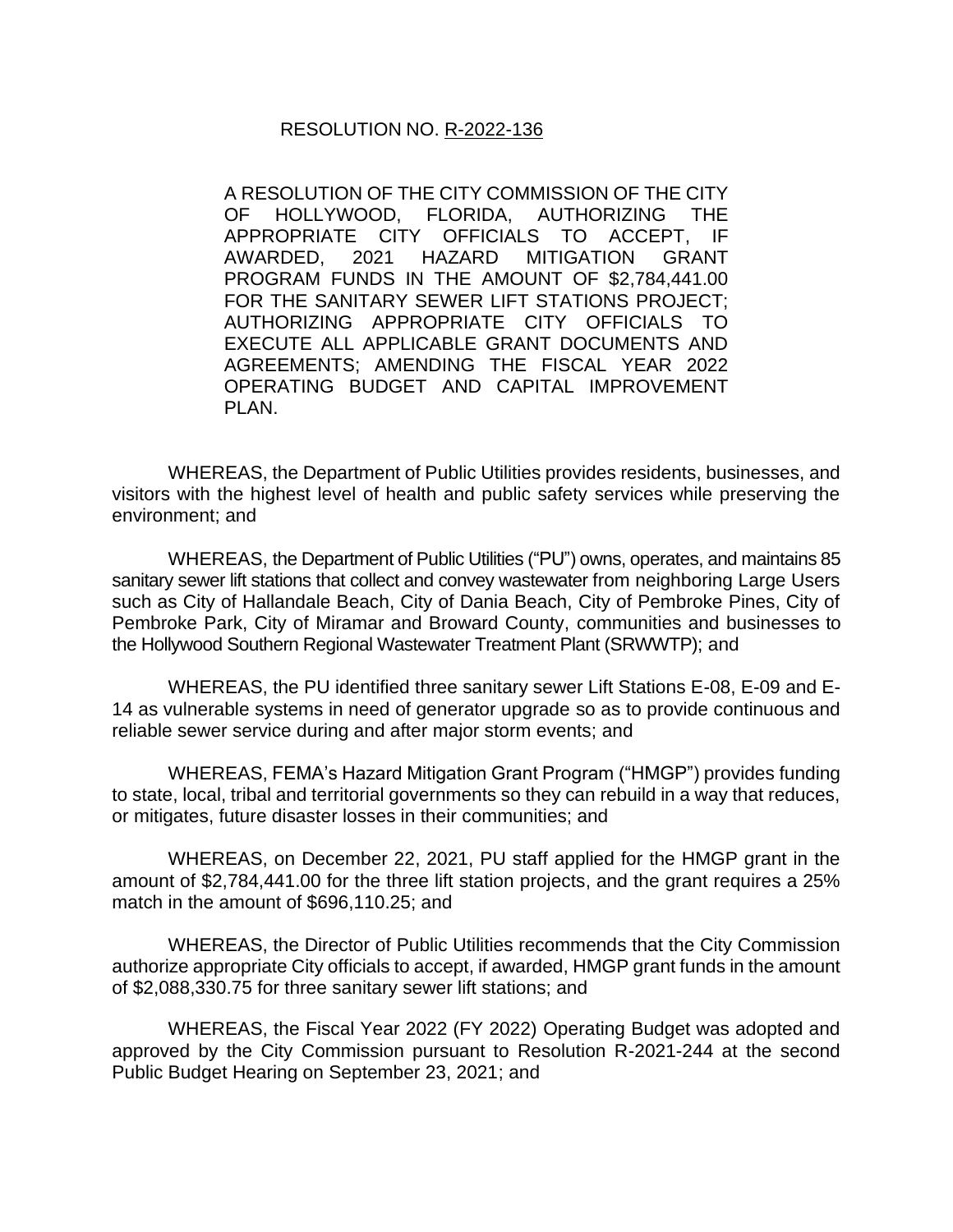## RESOLUTION NO. R-2022-136

A RESOLUTION OF THE CITY COMMISSION OF THE CITY OF HOLLYWOOD, FLORIDA, AUTHORIZING THE APPROPRIATE CITY OFFICIALS TO ACCEPT, IF AWARDED, 2021 HAZARD MITIGATION GRANT PROGRAM FUNDS IN THE AMOUNT OF \$2,784,441.00 FOR THE SANITARY SEWER LIFT STATIONS PROJECT; AUTHORIZING APPROPRIATE CITY OFFICIALS TO EXECUTE ALL APPLICABLE GRANT DOCUMENTS AND AGREEMENTS; AMENDING THE FISCAL YEAR 2022 OPERATING BUDGET AND CAPITAL IMPROVEMENT PLAN.

WHEREAS, the Department of Public Utilities provides residents, businesses, and visitors with the highest level of health and public safety services while preserving the environment; and

WHEREAS, the Department of Public Utilities ("PU") owns, operates, and maintains 85 sanitary sewer lift stations that collect and convey wastewater from neighboring Large Users such as City of Hallandale Beach, City of Dania Beach, City of Pembroke Pines, City of Pembroke Park, City of Miramar and Broward County, communities and businesses to the Hollywood Southern Regional Wastewater Treatment Plant (SRWWTP); and

WHEREAS, the PU identified three sanitary sewer Lift Stations E-08, E-09 and E-14 as vulnerable systems in need of generator upgrade so as to provide continuous and reliable sewer service during and after major storm events; and

WHEREAS, FEMA's Hazard Mitigation Grant Program ("HMGP") provides funding to state, local, tribal and territorial governments so they can rebuild in a way that reduces, or mitigates, future disaster losses in their communities; and

WHEREAS, on December 22, 2021, PU staff applied for the HMGP grant in the amount of \$2,784,441.00 for the three lift station projects, and the grant requires a 25% match in the amount of \$696,110.25; and

WHEREAS, the Director of Public Utilities recommends that the City Commission authorize appropriate City officials to accept, if awarded, HMGP grant funds in the amount of \$2,088,330.75 for three sanitary sewer lift stations; and

WHEREAS, the Fiscal Year 2022 (FY 2022) Operating Budget was adopted and approved by the City Commission pursuant to Resolution R-2021-244 at the second Public Budget Hearing on September 23, 2021; and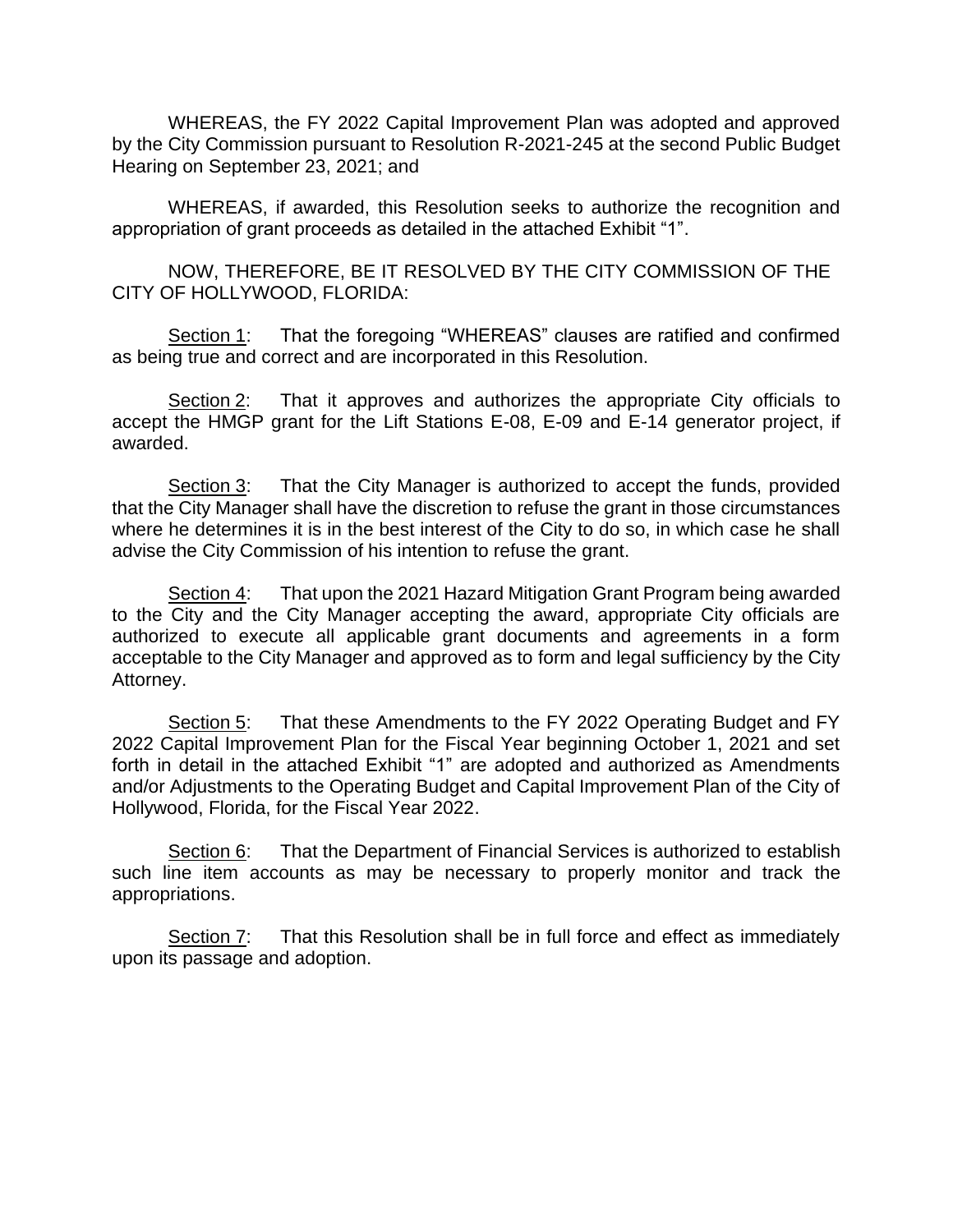WHEREAS, the FY 2022 Capital Improvement Plan was adopted and approved by the City Commission pursuant to Resolution R-2021-245 at the second Public Budget Hearing on September 23, 2021; and

WHEREAS, if awarded, this Resolution seeks to authorize the recognition and appropriation of grant proceeds as detailed in the attached Exhibit "1".

NOW, THEREFORE, BE IT RESOLVED BY THE CITY COMMISSION OF THE CITY OF HOLLYWOOD, FLORIDA:

Section 1: That the foregoing "WHEREAS" clauses are ratified and confirmed as being true and correct and are incorporated in this Resolution.

Section 2: That it approves and authorizes the appropriate City officials to accept the HMGP grant for the Lift Stations E-08, E-09 and E-14 generator project, if awarded.

Section 3: That the City Manager is authorized to accept the funds, provided that the City Manager shall have the discretion to refuse the grant in those circumstances where he determines it is in the best interest of the City to do so, in which case he shall advise the City Commission of his intention to refuse the grant.

Section 4: That upon the 2021 Hazard Mitigation Grant Program being awarded to the City and the City Manager accepting the award, appropriate City officials are authorized to execute all applicable grant documents and agreements in a form acceptable to the City Manager and approved as to form and legal sufficiency by the City Attorney.

Section 5: That these Amendments to the FY 2022 Operating Budget and FY 2022 Capital Improvement Plan for the Fiscal Year beginning October 1, 2021 and set forth in detail in the attached Exhibit "1" are adopted and authorized as Amendments and/or Adjustments to the Operating Budget and Capital Improvement Plan of the City of Hollywood, Florida, for the Fiscal Year 2022.

Section 6: That the Department of Financial Services is authorized to establish such line item accounts as may be necessary to properly monitor and track the appropriations.

Section 7: That this Resolution shall be in full force and effect as immediately upon its passage and adoption.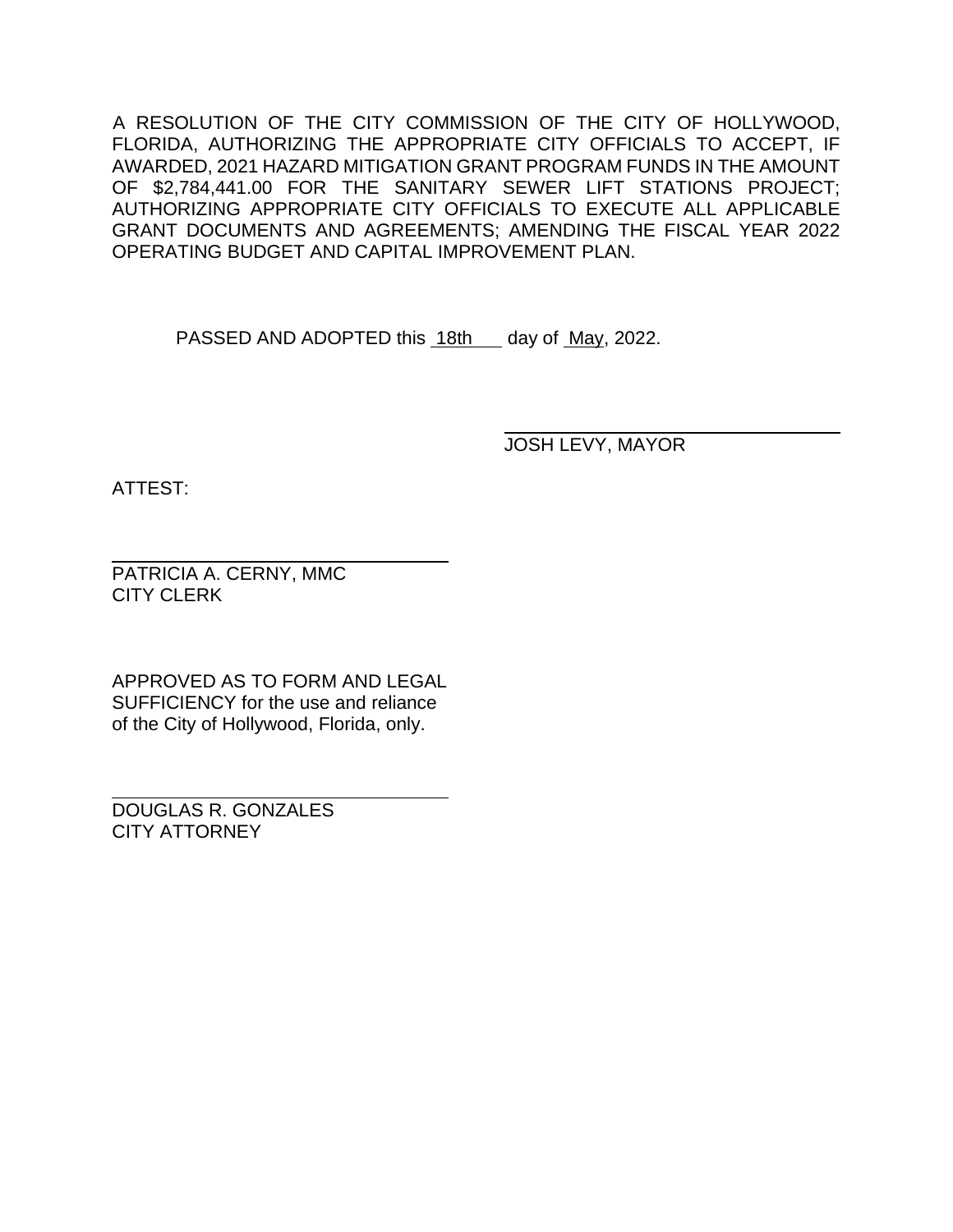A RESOLUTION OF THE CITY COMMISSION OF THE CITY OF HOLLYWOOD, FLORIDA, AUTHORIZING THE APPROPRIATE CITY OFFICIALS TO ACCEPT, IF AWARDED, 2021 HAZARD MITIGATION GRANT PROGRAM FUNDS IN THE AMOUNT OF \$2,784,441.00 FOR THE SANITARY SEWER LIFT STATIONS PROJECT; AUTHORIZING APPROPRIATE CITY OFFICIALS TO EXECUTE ALL APPLICABLE GRANT DOCUMENTS AND AGREEMENTS; AMENDING THE FISCAL YEAR 2022 OPERATING BUDGET AND CAPITAL IMPROVEMENT PLAN.

PASSED AND ADOPTED this 18th day of May, 2022.

JOSH LEVY, MAYOR

ATTEST:

PATRICIA A. CERNY, MMC CITY CLERK

APPROVED AS TO FORM AND LEGAL SUFFICIENCY for the use and reliance of the City of Hollywood, Florida, only.

DOUGLAS R. GONZALES CITY ATTORNEY